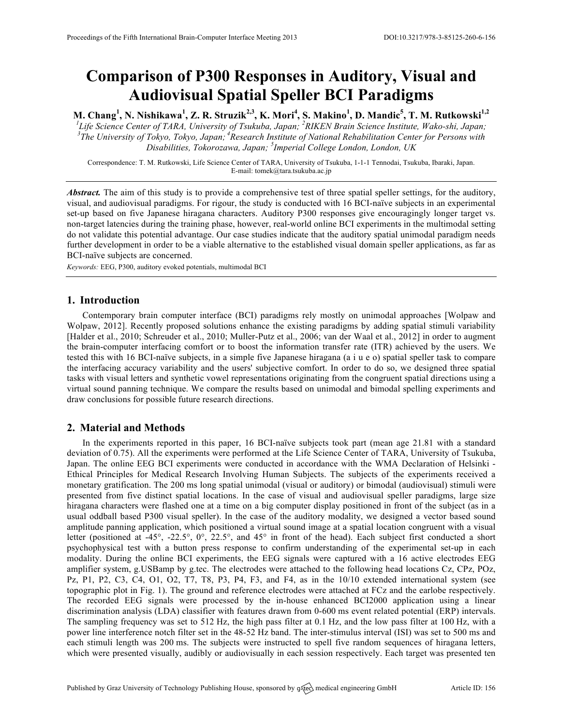# **Comparison of P300 Responses in Auditory, Visual and Audiovisual Spatial Speller BCI Paradigms**

**M. Chang<sup>1</sup> , N. Nishikawa<sup>1</sup> , Z. R. Struzik2,3, K. Mori4 , S. Makino<sup>1</sup> , D. Mandic<sup>5</sup> , T. M. Rutkowski1,2** <sup>1</sup>Life Science Center of TARA, University of Tsukuba, Japan; <sup>2</sup>RIKEN Brain Science Institute, Wako-shi, Japan; <sup>3</sup>The University of Telus, Tehno, Japan; <sup>2</sup> *The University of Tokyo, Tokyo, Japan; <sup>4</sup> Research Institute of National Rehabilitation Center for Persons with Disabilities, Tokorozawa, Japan; <sup>5</sup> Imperial College London, London, UK*

Correspondence: T. M. Rutkowski, Life Science Center of TARA, University of Tsukuba, 1-1-1 Tennodai, Tsukuba, Ibaraki, Japan. E-mail: tomek@tara.tsukuba.ac.jp

*Abstract.* The aim of this study is to provide a comprehensive test of three spatial speller settings, for the auditory, visual, and audiovisual paradigms. For rigour, the study is conducted with 16 BCI-naïve subjects in an experimental set-up based on five Japanese hiragana characters. Auditory P300 responses give encouragingly longer target vs. non-target latencies during the training phase, however, real-world online BCI experiments in the multimodal setting do not validate this potential advantage. Our case studies indicate that the auditory spatial unimodal paradigm needs further development in order to be a viable alternative to the established visual domain speller applications, as far as BCI-naïve subjects are concerned.

*Keywords:* EEG, P300, auditory evoked potentials, multimodal BCI

## **1. Introduction**

Contemporary brain computer interface (BCI) paradigms rely mostly on unimodal approaches [Wolpaw and Wolpaw, 2012]. Recently proposed solutions enhance the existing paradigms by adding spatial stimuli variability [Halder et al., 2010; Schreuder et al., 2010; Muller-Putz et al., 2006; van der Waal et al., 2012] in order to augment the brain-computer interfacing comfort or to boost the information transfer rate (ITR) achieved by the users. We tested this with 16 BCI-naïve subjects, in a simple five Japanese hiragana (a i u e o) spatial speller task to compare the interfacing accuracy variability and the users' subjective comfort. In order to do so, we designed three spatial tasks with visual letters and synthetic vowel representations originating from the congruent spatial directions using a virtual sound panning technique. We compare the results based on unimodal and bimodal spelling experiments and draw conclusions for possible future research directions.

## **2. Material and Methods**

In the experiments reported in this paper, 16 BCI-naïve subjects took part (mean age 21.81 with a standard deviation of 0.75). All the experiments were performed at the Life Science Center of TARA, University of Tsukuba, Japan. The online EEG BCI experiments were conducted in accordance with the WMA Declaration of Helsinki - Ethical Principles for Medical Research Involving Human Subjects. The subjects of the experiments received a monetary gratification. The 200 ms long spatial unimodal (visual or auditory) or bimodal (audiovisual) stimuli were presented from five distinct spatial locations. In the case of visual and audiovisual speller paradigms, large size hiragana characters were flashed one at a time on a big computer display positioned in front of the subject (as in a usual oddball based P300 visual speller). In the case of the auditory modality, we designed a vector based sound amplitude panning application, which positioned a virtual sound image at a spatial location congruent with a visual letter (positioned at -45°, -22.5°, 0°, 22.5°, and 45° in front of the head). Each subject first conducted a short psychophysical test with a button press response to confirm understanding of the experimental set-up in each modality. During the online BCI experiments, the EEG signals were captured with a 16 active electrodes EEG amplifier system, g.USBamp by g.tec. The electrodes were attached to the following head locations Cz, CPz, POz, Pz, P1, P2, C3, C4, O1, O2, T7, T8, P3, P4, F3, and F4, as in the 10/10 extended international system (see topographic plot in Fig. 1). The ground and reference electrodes were attached at FCz and the earlobe respectively. The recorded EEG signals were processed by the in-house enhanced BCI2000 application using a linear discrimination analysis (LDA) classifier with features drawn from 0-600 ms event related potential (ERP) intervals. The sampling frequency was set to 512 Hz, the high pass filter at 0.1 Hz, and the low pass filter at 100 Hz, with a power line interference notch filter set in the 48-52 Hz band. The inter-stimulus interval (ISI) was set to 500 ms and each stimuli length was 200 ms. The subjects were instructed to spell five random sequences of hiragana letters, which were presented visually, audibly or audiovisually in each session respectively. Each target was presented ten